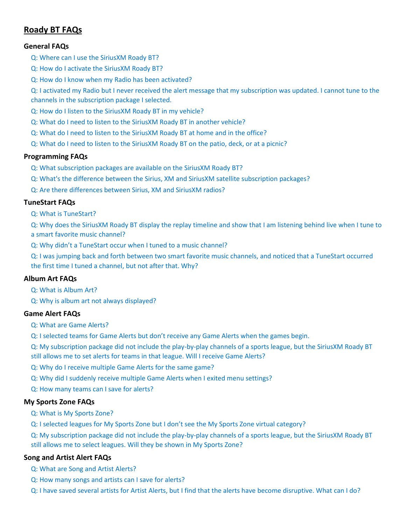# **Roady BT FAQs**

### **[General FAQs](#page-2-0)**

- [Q: Where can I use the SiriusXM Roady BT?](#page-2-1)
- [Q: How do I activate the SiriusXM Roady BT?](#page-2-2)
- [Q: How do I know when my Radio has been activated?](#page-3-0)

[Q: I activated my Radio but I never received the alert message that my subscription was updated. I cannot tune to the](#page-3-1)  [channels in the subscription package I selected.](#page-3-1)

- [Q: How do I listen to the SiriusXM Roady BT in my vehicle?](#page-3-2)
- [Q: What do I need to listen to the SiriusXM Roady BT in another vehicle?](#page-3-3)
- [Q: What do I need to listen to the SiriusXM Roady BT at home and in the office?](#page-3-4)
- [Q: What do I need to listen to the SiriusXM Roady BT on the patio, deck, or at a picnic?](#page-3-5)

#### **[Programming FAQs](#page-4-0)**

- [Q: What subscription packages are available on the SiriusXM Roady BT?](#page-4-1)
- [Q: What's the difference between the Sirius, XM and SiriusXM satellite subscription packages?](#page-4-2)
- Q: Are [there differences between Sirius, XM and SiriusXM radios?](#page-4-3)

### **[TuneStart FAQs](#page-4-4)**

[Q: What is TuneStart?](#page-4-5)

[Q: Why does the SiriusXM Roady BT display the replay timeline and show that I am listening behind live when I tune to](#page-4-6)  [a smart favorite music channel?](#page-4-6)

[Q: Why didn't a TuneStart occur when I tuned to a music channel?](#page-4-7)

[Q: I was jumping back and forth between two smart favorite music channels, and noticed that a TuneStart occurred](#page-4-8)  [the first time I tuned a channel, but not after that. Why?](#page-4-8)

#### **[Album Art FAQs](#page-5-0)**

[Q: What is Album Art?](#page-5-1)

[Q: Why is album art not always displayed?](#page-5-2)

### **[Game Alert FAQs](#page-5-3)**

[Q: What are Game Alerts?](#page-5-4)

[Q: I selected teams for Game Alerts but don't receive any Game Alerts when the games begin.](#page-5-5)

[Q: My subscription package did not include the play-by-play channels of a sports league, but the SiriusXM Roady BT](#page-5-6)  [still allows me to set alerts for teams in that league. Will I receive Game](#page-5-6) Alerts?

- [Q: Why do I receive multiple Game Alerts for the same game?](#page-5-7)
- [Q: Why did I suddenly receive multiple Game Alerts when I exited menu settings?](#page-5-8)

[Q: How many teams can I save for alerts?](#page-5-9)

#### **[My Sports Zone FAQs](#page-6-0)**

[Q: What is My Sports Zone?](#page-6-1)

[Q: I selected leagues for My Sports Zone but I don't see the My Sports Zone virtual category?](#page-6-2)

[Q: My subscription package did not include the play-by-play channels of a sports league, but the SiriusXM Roady BT](#page-6-3)  [still allows me to select leagues. Will they be shown in My Sports Zone?](#page-6-3)

#### **[Song and Artist Alert FAQs](#page-6-4)**

- [Q: What are Song and Artist Alerts?](#page-6-5)
- [Q: How many songs and artists can I save for alerts?](#page-6-6)
- [Q: I have saved several artists for Artist Alerts, but I find that the alerts have become disruptive. What can I do?](#page-6-7)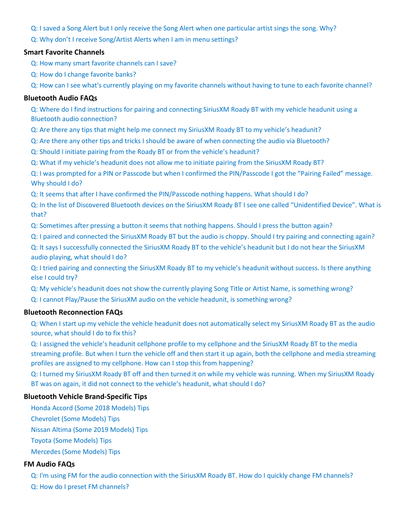[Q: I saved a Song Alert but I only receive the Song Alert when one particular artist sings the song. Why?](#page-6-8)

[Q: Why don't I receive Song/Artist Alerts when I am in menu settings?](#page-6-9)

### **[Smart Favorite Channels](#page-7-0)**

[Q: How many smart favorite channels can I save?](#page-7-1)

- [Q: How do I change favorite banks?](#page-7-2)
- [Q: How can I see what's currently playing on my favorite channels without having to tune to each favorite channel?](#page-7-3)

### **[Bluetooth Audio FAQs](#page-7-4)**

[Q: Where do I find instructions for pairing and connecting SiriusXM Roady BT with my vehicle headunit using a](#page-7-5)  [Bluetooth audio connection?](#page-7-5)

[Q: Are there any tips that might help me connect my SiriusXM Roady BT to my vehicle's headunit?](#page-7-6)

[Q: Are there any other tips and tricks I should be aware of when connecting the audio via Bluetooth?](#page-8-0)

[Q: Should I initiate pairing from the Roady BT or from the vehicle's headunit?](#page-8-1)

[Q: What if my vehicle's headunit does not allow me to initiate pairing from the SiriusXM Roady BT?](#page-8-2)

[Q: I was prompted for a PIN or Passcode but when I confirmed the PIN/Passcode I got the "Pairing Failed" message.](#page-9-0)  [Why should I do?](#page-9-0)

[Q: It seems that after I have confirmed the PIN/Passcode nothing happens. What should I do?](#page-9-1)

[Q: In the list of Discovered Bluetooth devices on the SiriusXM Roady BT I see one called "Unidentified Device". What is](#page-9-2)  [that?](#page-9-2)

[Q: Sometimes after pressing a button it seems that nothing happens. Should I press the button again?](#page-9-3)

[Q: I paired and connected the SiriusXM Roady BT but the audio is choppy. Should I try pairing and connecting again?](#page-9-4)

[Q: It says I successfully connected the SiriusXM Roady BT to the vehicle's headunit but I do not hear the SiriusXM](#page-9-5)  [audio playing, what should I do?](#page-9-5)

[Q: I tried pairing and connecting the SiriusXM Roady BT to my vehicle's headunit without success. Is there anything](#page-10-0)  [else I could try?](#page-10-0)

[Q: My vehicle's headunit does not show the currently playing Song Title or Artist Name, is something wrong?](#page-10-1)

[Q: I cannot Play/Pause the SiriusXM audio on the vehicle headunit, is something wrong?](#page-10-2)

## **[Bluetooth Reconnection FAQs](#page-10-3)**

[Q: When I start up my vehicle the vehicle headunit does not automatically select my SiriusXM Roady BT as the audio](#page-10-4)  [source, what should I do to fix this?](#page-10-4)

[Q: I assigned the vehicle's headunit cellphone profile to my cellphone and the SiriusXM Roady BT to the media](#page-10-5)  [streaming profile. But when I turn the vehicle off and then start it up again, both the cellphone and media streaming](#page-10-5)  [profiles are assigned to my cellphone. How can I stop this from happening?](#page-10-5)

[Q: I turned my SiriusXM Roady BT off and then turned it on while my vehicle was running. When my SiriusXM Roady](#page-10-6)  [BT was on again, it did not connect to the vehicle's headunit, what should I do?](#page-10-6)

## **[Bluetooth Vehicle Brand-Specific Tips](#page-11-0)**

[Honda Accord \(Some 2018 Models\) Tips](#page-11-1)

[Chevrolet \(Some Models\) Tips](#page-11-2)

[Nissan Altima \(Some 2019 Models\) Tips](#page-11-3)

[Toyota \(Some Models\) Tips](#page-11-4)

[Mercedes \(Some Models\) Tips](#page-11-5)

## **[FM Audio FAQs](#page-12-0)**

[Q: I'm using FM for the audio connection with the SiriusXM Roady BT. How do I quickly change FM channels?](#page-12-1)

[Q: How do I preset FM channels?](#page-12-2)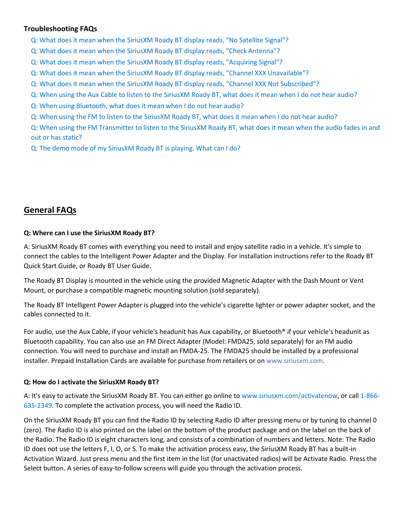## **[Troubleshooting FAQs](#page-12-3)**

[Q: What does it mean when the SiriusXM Roady BT display reads, "No Satellite Signal"?](#page-12-4)

- [Q: What does it mean when the SiriusXM Roady BT display reads, "Check Antenna"?](#page-12-5)
- [Q: What does it mean when the SiriusXM Roady BT display reads, "Acquiring Signal"?](#page-12-6)
- [Q: What does it mean when the SiriusXM Roady BT display reads, "Channel XXX Unavailable"?](#page-12-7)
- Q: What does it mean when the SiriusXM [Roady BT display reads, "Channel XXX Not Subscribed"?](#page-12-8)
- [Q: When using the Aux Cable to listen to the SiriusXM Roady BT, what does it mean when I do not hear audio?](#page-12-9)
- Q: When using Bluetooth, what [does it mean when I do not hear audio?](#page-13-0)
- [Q: When using the FM to listen to the SiriusXM Roady BT, what does it mean when I do not hear audio?](#page-13-1)

[Q: When using the FM Transmitter to listen to the SiriusXM Roady BT, what does it mean when the audio fades in and](#page-13-2)  [out or has static?](#page-13-2)

[Q: The demo mode of my SiriusXM Roady BT is playing. What can I do?](#page-13-3)

# <span id="page-2-0"></span>**General FAQs**

### <span id="page-2-1"></span>**Q: Where can I use the SiriusXM Roady BT?**

A: SiriusXM Roady BT comes with everything you need to install and enjoy satellite radio in a vehicle. It's simple to connect the cables to the Intelligent Power Adapter and the Display. For installation instructions refer to the Roady BT Quick Start Guide, or Roady BT User Guide.

The Roady BT Display is mounted in the vehicle using the provided Magnetic Adapter with the Dash Mount or Vent Mount, or purchase a compatible magnetic mounting solution (sold separately).

The Roady BT Intelligent Power Adapter is plugged into the vehicle's cigarette lighter or power adapter socket, and the cables connected to it.

For audio, use the Aux Cable, if your vehicle's headunit has Aux capability, or Bluetooth® if your vehicle's headunit as Bluetooth capability. You can also use an FM Direct Adapter (Model: FMDA25, sold separately) for an FM audio connection. You will need to purchase and install an FMDA-25. The FMDA25 should be installed by a professional installer. Prepaid Installation Cards are available for purchase from retailers or on www.siriusxm.com.

## <span id="page-2-2"></span>**Q: How do I activate the SiriusXM Roady BT?**

A: It's easy to activate the SiriusXM Roady BT. You can either go online to www.siriusxm.com/activatenow, or call 1-866- 635-2349. To complete the activation process, you will need the Radio ID.

On the SiriusXM Roady BT you can find the Radio ID by selecting Radio ID after pressing menu or by tuning to channel 0 (zero). The Radio ID is also printed on the label on the bottom of the product package and on the label on the back of the Radio. The Radio ID is eight characters long, and consists of a combination of numbers and letters. Note: The Radio ID does not use the letters F, I, O, or S. To make the activation process easy, the SiriusXM Roady BT has a built-in Activation Wizard. Just press menu and the first item in the list (for unactivated radios) will be Activate Radio. Press the Select button. A series of easy-to-follow screens will guide you through the activation process.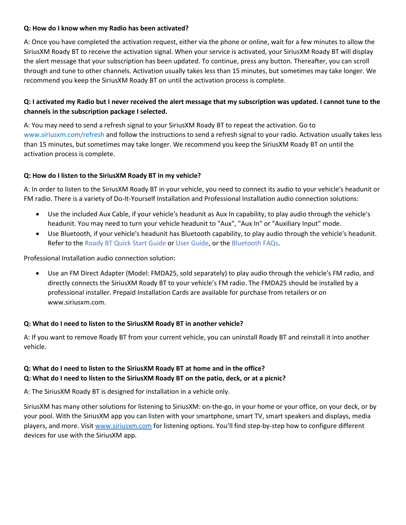### <span id="page-3-0"></span>**Q: How do I know when my Radio has been activated?**

A: Once you have completed the activation request, either via the phone or online, wait for a few minutes to allow the SiriusXM Roady BT to receive the activation signal. When your service is activated, your SiriusXM Roady BT will display the alert message that your subscription has been updated. To continue, press any button. Thereafter, you can scroll through and tune to other channels. Activation usually takes less than 15 minutes, but sometimes may take longer. We recommend you keep the SiriusXM Roady BT on until the activation process is complete.

## <span id="page-3-1"></span>**Q: I activated my Radio but I never received the alert message that my subscription was updated. I cannot tune to the channels in the subscription package I selected.**

A: You may need to send a refresh signal to your SiriusXM Roady BT to repeat the activation. Go to www.siriusxm.com/refresh and follow the instructions to send a refresh signal to your radio. Activation usually takes less than 15 minutes, but sometimes may take longer. We recommend you keep the SiriusXM Roady BT on until the activation process is complete.

## <span id="page-3-2"></span>**Q: How do I listen to the SiriusXM Roady BT in my vehicle?**

A: In order to listen to the SiriusXM Roady BT in your vehicle, you need to connect its audio to your vehicle's headunit or FM radio. There is a variety of Do-It-Yourself Installation and Professional Installation audio connection solutions:

- Use the included Aux Cable, if your vehicle's headunit as Aux In capability, to play audio through the vehicle's headunit. You may need to turn your vehicle headunit to "Aux", "Aux In" or "Auxiliary Input" mode.
- Use Bluetooth, if your vehicle's headunit has Bluetooth capability, to play audio through the vehicle's headunit. Refer to the Roady BT Quick Start Guide or User Guide, or the Bluetooth FAQs.

Professional Installation audio connection solution:

• Use an FM Direct Adapter (Model: FMDA25, sold separately) to play audio through the vehicle's FM radio, and directly connects the SiriusXM Roady BT to your vehicle's FM radio. The FMDA25 should be installed by a professional installer. Prepaid Installation Cards are available for purchase from retailers or on www.siriusxm.com.

#### <span id="page-3-3"></span>**Q: What do I need to listen to the SiriusXM Roady BT in another vehicle?**

A: If you want to remove Roady BT from your current vehicle, you can uninstall Roady BT and reinstall it into another vehicle.

## <span id="page-3-5"></span><span id="page-3-4"></span>**Q: What do I need to listen to the SiriusXM Roady BT at home and in the office? Q: What do I need to listen to the SiriusXM Roady BT on the patio, deck, or at a picnic?**

A: The SiriusXM Roady BT is designed for installation in a vehicle only.

SiriusXM has many other solutions for listening to SiriusXM: on-the-go, in your home or your office, on your deck, or by your pool. With the SiriusXM app you can listen with your smartphone, smart TV, smart speakers and displays, media players, and more. Visi[t www.siriusxm.com](http://www.siriusxm.com/) for listening options. You'll find step-by-step how to configure different devices for use with the SiriusXM app.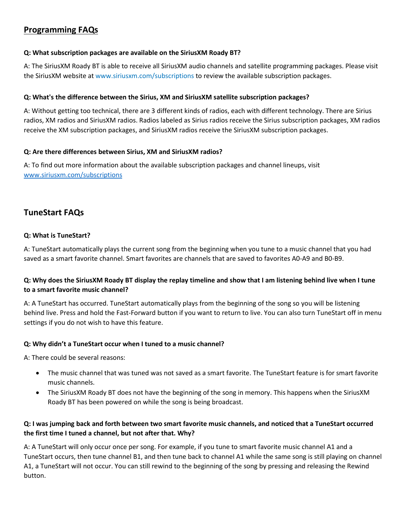# <span id="page-4-0"></span>**Programming FAQs**

### <span id="page-4-1"></span>**Q: What subscription packages are available on the SiriusXM Roady BT?**

A: The SiriusXM Roady BT is able to receive all SiriusXM audio channels and satellite programming packages. Please visit the SiriusXM website at www.siriusxm.com/subscriptions to review the available subscription packages.

### <span id="page-4-2"></span>**Q: What's the difference between the Sirius, XM and SiriusXM satellite subscription packages?**

A: Without getting too technical, there are 3 different kinds of radios, each with different technology. There are Sirius radios, XM radios and SiriusXM radios. Radios labeled as Sirius radios receive the Sirius subscription packages, XM radios receive the XM subscription packages, and SiriusXM radios receive the SiriusXM subscription packages.

### <span id="page-4-3"></span>**Q: Are there differences between Sirius, XM and SiriusXM radios?**

A: To find out more information about the available subscription packages and channel lineups, visit [www.siriusxm.com/subscriptions](http://www.siriusxm.com/subscriptions)

# <span id="page-4-4"></span>**TuneStart FAQs**

## <span id="page-4-5"></span>**Q: What is TuneStart?**

A: TuneStart automatically plays the current song from the beginning when you tune to a music channel that you had saved as a smart favorite channel. Smart favorites are channels that are saved to favorites A0-A9 and B0-B9.

# <span id="page-4-6"></span>**Q: Why does the SiriusXM Roady BT display the replay timeline and show that I am listening behind live when I tune to a smart favorite music channel?**

A: A TuneStart has occurred. TuneStart automatically plays from the beginning of the song so you will be listening behind live. Press and hold the Fast-Forward button if you want to return to live. You can also turn TuneStart off in menu settings if you do not wish to have this feature.

## <span id="page-4-7"></span>**Q: Why didn't a TuneStart occur when I tuned to a music channel?**

A: There could be several reasons:

- The music channel that was tuned was not saved as a smart favorite. The TuneStart feature is for smart favorite music channels.
- The SiriusXM Roady BT does not have the beginning of the song in memory. This happens when the SiriusXM Roady BT has been powered on while the song is being broadcast.

## <span id="page-4-8"></span>**Q: I was jumping back and forth between two smart favorite music channels, and noticed that a TuneStart occurred the first time I tuned a channel, but not after that. Why?**

A: A TuneStart will only occur once per song. For example, if you tune to smart favorite music channel A1 and a TuneStart occurs, then tune channel B1, and then tune back to channel A1 while the same song is still playing on channel A1, a TuneStart will not occur. You can still rewind to the beginning of the song by pressing and releasing the Rewind button.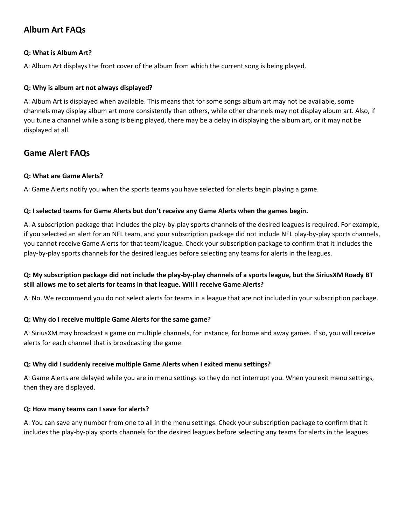# <span id="page-5-0"></span>**Album Art FAQs**

## <span id="page-5-1"></span>**Q: What is Album Art?**

A: Album Art displays the front cover of the album from which the current song is being played.

### <span id="page-5-2"></span>**Q: Why is album art not always displayed?**

A: Album Art is displayed when available. This means that for some songs album art may not be available, some channels may display album art more consistently than others, while other channels may not display album art. Also, if you tune a channel while a song is being played, there may be a delay in displaying the album art, or it may not be displayed at all.

# <span id="page-5-3"></span>**Game Alert FAQs**

### <span id="page-5-4"></span>**Q: What are Game Alerts?**

A: Game Alerts notify you when the sports teams you have selected for alerts begin playing a game.

### <span id="page-5-5"></span>**Q: I selected teams for Game Alerts but don't receive any Game Alerts when the games begin.**

A: A subscription package that includes the play-by-play sports channels of the desired leagues is required. For example, if you selected an alert for an NFL team, and your subscription package did not include NFL play-by-play sports channels, you cannot receive Game Alerts for that team/league. Check your subscription package to confirm that it includes the play-by-play sports channels for the desired leagues before selecting any teams for alerts in the leagues.

## <span id="page-5-6"></span>**Q: My subscription package did not include the play-by-play channels of a sports league, but the SiriusXM Roady BT still allows me to set alerts for teams in that league. Will I receive Game Alerts?**

A: No. We recommend you do not select alerts for teams in a league that are not included in your subscription package.

#### <span id="page-5-7"></span>**Q: Why do I receive multiple Game Alerts for the same game?**

A: SiriusXM may broadcast a game on multiple channels, for instance, for home and away games. If so, you will receive alerts for each channel that is broadcasting the game.

## <span id="page-5-8"></span>**Q: Why did I suddenly receive multiple Game Alerts when I exited menu settings?**

A: Game Alerts are delayed while you are in menu settings so they do not interrupt you. When you exit menu settings, then they are displayed.

## <span id="page-5-9"></span>**Q: How many teams can I save for alerts?**

A: You can save any number from one to all in the menu settings. Check your subscription package to confirm that it includes the play-by-play sports channels for the desired leagues before selecting any teams for alerts in the leagues.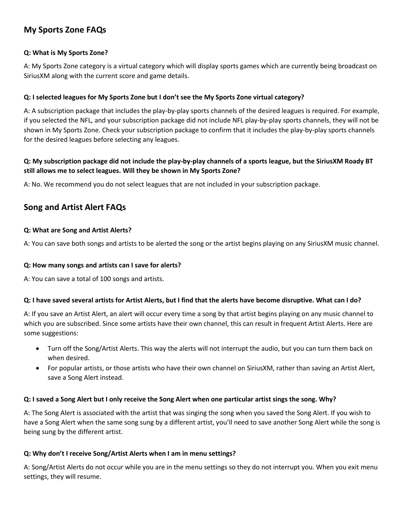# <span id="page-6-0"></span>**My Sports Zone FAQs**

## <span id="page-6-1"></span>**Q: What is My Sports Zone?**

A: My Sports Zone category is a virtual category which will display sports games which are currently being broadcast on SiriusXM along with the current score and game details.

## <span id="page-6-2"></span>**Q: I selected leagues for My Sports Zone but I don't see the My Sports Zone virtual category?**

A: A subscription package that includes the play-by-play sports channels of the desired leagues is required. For example, if you selected the NFL, and your subscription package did not include NFL play-by-play sports channels, they will not be shown in My Sports Zone. Check your subscription package to confirm that it includes the play-by-play sports channels for the desired leagues before selecting any leagues.

## <span id="page-6-3"></span>**Q: My subscription package did not include the play-by-play channels of a sports league, but the SiriusXM Roady BT still allows me to select leagues. Will they be shown in My Sports Zone?**

A: No. We recommend you do not select leagues that are not included in your subscription package.

# <span id="page-6-4"></span>**Song and Artist Alert FAQs**

### <span id="page-6-5"></span>**Q: What are Song and Artist Alerts?**

A: You can save both songs and artists to be alerted the song or the artist begins playing on any SiriusXM music channel.

### <span id="page-6-6"></span>**Q: How many songs and artists can I save for alerts?**

A: You can save a total of 100 songs and artists.

## <span id="page-6-7"></span>**Q: I have saved several artists for Artist Alerts, but I find that the alerts have become disruptive. What can I do?**

A: If you save an Artist Alert, an alert will occur every time a song by that artist begins playing on any music channel to which you are subscribed. Since some artists have their own channel, this can result in frequent Artist Alerts. Here are some suggestions:

- Turn off the Song/Artist Alerts. This way the alerts will not interrupt the audio, but you can turn them back on when desired.
- For popular artists, or those artists who have their own channel on SiriusXM, rather than saving an Artist Alert, save a Song Alert instead.

## <span id="page-6-8"></span>**Q: I saved a Song Alert but I only receive the Song Alert when one particular artist sings the song. Why?**

A: The Song Alert is associated with the artist that was singing the song when you saved the Song Alert. If you wish to have a Song Alert when the same song sung by a different artist, you'll need to save another Song Alert while the song is being sung by the different artist.

## <span id="page-6-9"></span>**Q: Why don't I receive Song/Artist Alerts when I am in menu settings?**

A: Song/Artist Alerts do not occur while you are in the menu settings so they do not interrupt you. When you exit menu settings, they will resume.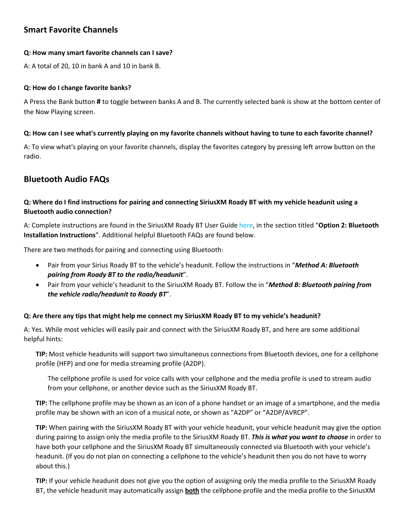# <span id="page-7-0"></span>**Smart Favorite Channels**

### <span id="page-7-1"></span>**Q: How many smart favorite channels can I save?**

A: A total of 20, 10 in bank A and 10 in bank B.

### <span id="page-7-2"></span>**Q: How do I change favorite banks?**

A Press the Bank button **#** to toggle between banks A and B. The currently selected bank is show at the bottom center of the Now Playing screen.

### <span id="page-7-3"></span>**Q: How can I see what's currently playing on my favorite channels without having to tune to each favorite channel?**

A: To view what's playing on your favorite channels, display the favorites category by pressing left arrow button on the radio.

# <span id="page-7-4"></span>**Bluetooth Audio FAQs**

# <span id="page-7-5"></span>**Q: Where do I find instructions for pairing and connecting SiriusXM Roady BT with my vehicle headunit using a Bluetooth audio connection?**

A: Complete instructions are found in the SiriusXM Roady BT User Guide here, in the section titled "**Option 2: Bluetooth Installation Instructions**". Additional helpful Bluetooth FAQs are found below.

There are two methods for pairing and connecting using Bluetooth:

- Pair from your Sirius Roady BT to the vehicle's headunit. Follow the instructions in "*Method A: Bluetooth pairing from Roady BT to the radio/headunit*".
- Pair from your vehicle's headunit to the SiriusXM Roady BT. Follow the in "*Method B: Bluetooth pairing from the vehicle radio/headunit to Roady BT*".

## <span id="page-7-6"></span>**Q: Are there any tips that might help me connect my SiriusXM Roady BT to my vehicle's headunit?**

A: Yes. While most vehicles will easily pair and connect with the SiriusXM Roady BT, and here are some additional helpful hints:

**TIP:** Most vehicle headunits will support two simultaneous connections from Bluetooth devices, one for a cellphone profile (HFP) and one for media streaming profile (A2DP).

The cellphone profile is used for voice calls with your cellphone and the media profile is used to stream audio from your cellphone, or another device such as the SiriusXM Roady BT.

**TIP:** The cellphone profile may be shown as an icon of a phone handset or an image of a smartphone, and the media profile may be shown with an icon of a musical note, or shown as "A2DP" or "A2DP/AVRCP".

**TIP:** When pairing with the SiriusXM Roady BT with your vehicle headunit, your vehicle headunit may give the option during pairing to assign only the media profile to the SiriusXM Roady BT. *This is what you want to choose* in order to have both your cellphone and the SiriusXM Roady BT simultaneously connected via Bluetooth with your vehicle's headunit. (If you do not plan on connecting a cellphone to the vehicle's headunit then you do not have to worry about this.)

**TIP:** If your vehicle headunit does not give you the option of assigning only the media profile to the SiriusXM Roady BT, the vehicle headunit may automatically assign **both** the cellphone profile and the media profile to the SiriusXM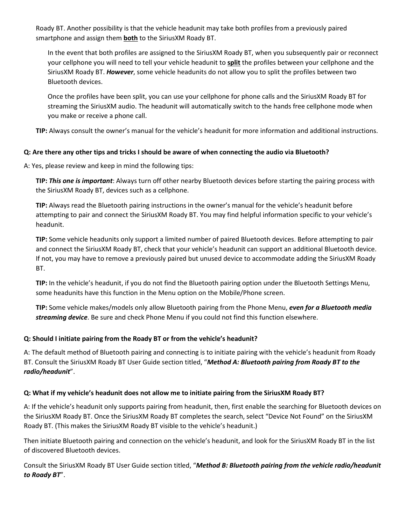Roady BT. Another possibility is that the vehicle headunit may take both profiles from a previously paired smartphone and assign them **both** to the SiriusXM Roady BT.

In the event that both profiles are assigned to the SiriusXM Roady BT, when you subsequently pair or reconnect your cellphone you will need to tell your vehicle headunit to **split** the profiles between your cellphone and the SiriusXM Roady BT. *However*, some vehicle headunits do not allow you to split the profiles between two Bluetooth devices.

Once the profiles have been split, you can use your cellphone for phone calls and the SiriusXM Roady BT for streaming the SiriusXM audio. The headunit will automatically switch to the hands free cellphone mode when you make or receive a phone call.

**TIP:** Always consult the owner's manual for the vehicle's headunit for more information and additional instructions.

## <span id="page-8-0"></span>**Q: Are there any other tips and tricks I should be aware of when connecting the audio via Bluetooth?**

A: Yes, please review and keep in mind the following tips:

**TIP:** *This one is important*: Always turn off other nearby Bluetooth devices before starting the pairing process with the SiriusXM Roady BT, devices such as a cellphone.

**TIP:** Always read the Bluetooth pairing instructions in the owner's manual for the vehicle's headunit before attempting to pair and connect the SiriusXM Roady BT. You may find helpful information specific to your vehicle's headunit.

**TIP:** Some vehicle headunits only support a limited number of paired Bluetooth devices. Before attempting to pair and connect the SiriusXM Roady BT, check that your vehicle's headunit can support an additional Bluetooth device. If not, you may have to remove a previously paired but unused device to accommodate adding the SiriusXM Roady BT.

**TIP:** In the vehicle's headunit, if you do not find the Bluetooth pairing option under the Bluetooth Settings Menu, some headunits have this function in the Menu option on the Mobile/Phone screen.

**TIP:** Some vehicle makes/models only allow Bluetooth pairing from the Phone Menu, *even for a Bluetooth media streaming device*. Be sure and check Phone Menu if you could not find this function elsewhere.

# <span id="page-8-1"></span>**Q: Should I initiate pairing from the Roady BT or from the vehicle's headunit?**

A: The default method of Bluetooth pairing and connecting is to initiate pairing with the vehicle's headunit from Roady BT. Consult the SiriusXM Roady BT User Guide section titled, "*Method A: Bluetooth pairing from Roady BT to the radio/headunit*".

# <span id="page-8-2"></span>**Q: What if my vehicle's headunit does not allow me to initiate pairing from the SiriusXM Roady BT?**

A: If the vehicle's headunit only supports pairing from headunit, then, first enable the searching for Bluetooth devices on the SiriusXM Roady BT. Once the SiriusXM Roady BT completes the search, select "Device Not Found" on the SiriusXM Roady BT. (This makes the SiriusXM Roady BT visible to the vehicle's headunit.)

Then initiate Bluetooth pairing and connection on the vehicle's headunit, and look for the SiriusXM Roady BT in the list of discovered Bluetooth devices.

Consult the SiriusXM Roady BT User Guide section titled, "*Method B: Bluetooth pairing from the vehicle radio/headunit to Roady BT*".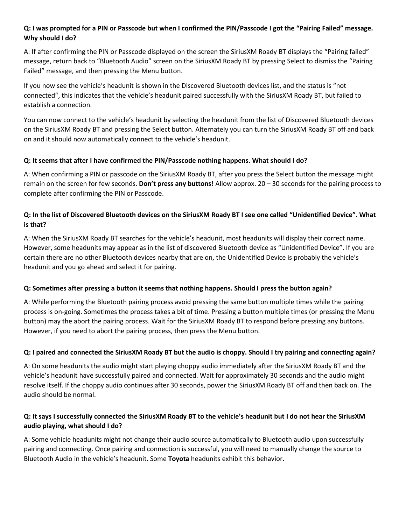## <span id="page-9-0"></span>**Q: I was prompted for a PIN or Passcode but when I confirmed the PIN/Passcode I got the "Pairing Failed" message. Why should I do?**

A: If after confirming the PIN or Passcode displayed on the screen the SiriusXM Roady BT displays the "Pairing failed" message, return back to "Bluetooth Audio" screen on the SiriusXM Roady BT by pressing Select to dismiss the "Pairing Failed" message, and then pressing the Menu button.

If you now see the vehicle's headunit is shown in the Discovered Bluetooth devices list, and the status is "not connected", this indicates that the vehicle's headunit paired successfully with the SiriusXM Roady BT, but failed to establish a connection.

You can now connect to the vehicle's headunit by selecting the headunit from the list of Discovered Bluetooth devices on the SiriusXM Roady BT and pressing the Select button. Alternately you can turn the SiriusXM Roady BT off and back on and it should now automatically connect to the vehicle's headunit.

## <span id="page-9-1"></span>**Q: It seems that after I have confirmed the PIN/Passcode nothing happens. What should I do?**

A: When confirming a PIN or passcode on the SiriusXM Roady BT, after you press the Select button the message might remain on the screen for few seconds. **Don't press any buttons!** Allow approx. 20 – 30 seconds for the pairing process to complete after confirming the PIN or Passcode.

# <span id="page-9-2"></span>**Q: In the list of Discovered Bluetooth devices on the SiriusXM Roady BT I see one called "Unidentified Device". What is that?**

A: When the SiriusXM Roady BT searches for the vehicle's headunit, most headunits will display their correct name. However, some headunits may appear as in the list of discovered Bluetooth device as "Unidentified Device". If you are certain there are no other Bluetooth devices nearby that are on, the Unidentified Device is probably the vehicle's headunit and you go ahead and select it for pairing.

## <span id="page-9-3"></span>**Q: Sometimes after pressing a button it seems that nothing happens. Should I press the button again?**

A: While performing the Bluetooth pairing process avoid pressing the same button multiple times while the pairing process is on-going. Sometimes the process takes a bit of time. Pressing a button multiple times (or pressing the Menu button) may the abort the pairing process. Wait for the SiriusXM Roady BT to respond before pressing any buttons. However, if you need to abort the pairing process, then press the Menu button.

## <span id="page-9-4"></span>**Q: I paired and connected the SiriusXM Roady BT but the audio is choppy. Should I try pairing and connecting again?**

A: On some headunits the audio might start playing choppy audio immediately after the SiriusXM Roady BT and the vehicle's headunit have successfully paired and connected. Wait for approximately 30 seconds and the audio might resolve itself. If the choppy audio continues after 30 seconds, power the SiriusXM Roady BT off and then back on. The audio should be normal.

# <span id="page-9-5"></span>**Q: It says I successfully connected the SiriusXM Roady BT to the vehicle's headunit but I do not hear the SiriusXM audio playing, what should I do?**

A: Some vehicle headunits might not change their audio source automatically to Bluetooth audio upon successfully pairing and connecting. Once pairing and connection is successful, you will need to manually change the source to Bluetooth Audio in the vehicle's headunit. Some **Toyota** headunits exhibit this behavior.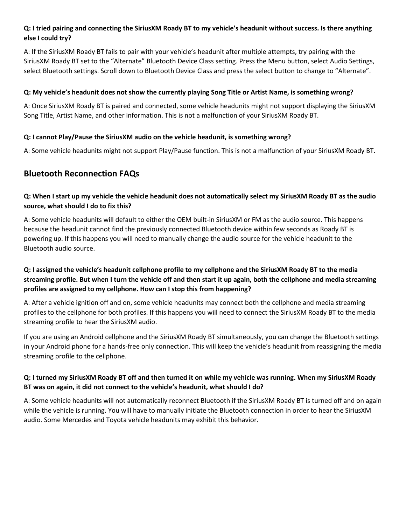## <span id="page-10-0"></span>**Q: I tried pairing and connecting the SiriusXM Roady BT to my vehicle's headunit without success. Is there anything else I could try?**

A: If the SiriusXM Roady BT fails to pair with your vehicle's headunit after multiple attempts, try pairing with the SiriusXM Roady BT set to the "Alternate" Bluetooth Device Class setting. Press the Menu button, select Audio Settings, select Bluetooth settings. Scroll down to Bluetooth Device Class and press the select button to change to "Alternate".

## <span id="page-10-1"></span>**Q: My vehicle's headunit does not show the currently playing Song Title or Artist Name, is something wrong?**

A: Once SiriusXM Roady BT is paired and connected, some vehicle headunits might not support displaying the SiriusXM Song Title, Artist Name, and other information. This is not a malfunction of your SiriusXM Roady BT.

## <span id="page-10-2"></span>**Q: I cannot Play/Pause the SiriusXM audio on the vehicle headunit, is something wrong?**

A: Some vehicle headunits might not support Play/Pause function. This is not a malfunction of your SiriusXM Roady BT.

# <span id="page-10-3"></span>**Bluetooth Reconnection FAQs**

# <span id="page-10-4"></span>**Q: When I start up my vehicle the vehicle headunit does not automatically select my SiriusXM Roady BT as the audio source, what should I do to fix this?**

A: Some vehicle headunits will default to either the OEM built-in SiriusXM or FM as the audio source. This happens because the headunit cannot find the previously connected Bluetooth device within few seconds as Roady BT is powering up. If this happens you will need to manually change the audio source for the vehicle headunit to the Bluetooth audio source.

# <span id="page-10-5"></span>**Q: I assigned the vehicle's headunit cellphone profile to my cellphone and the SiriusXM Roady BT to the media streaming profile. But when I turn the vehicle off and then start it up again, both the cellphone and media streaming profiles are assigned to my cellphone. How can I stop this from happening?**

A: After a vehicle ignition off and on, some vehicle headunits may connect both the cellphone and media streaming profiles to the cellphone for both profiles. If this happens you will need to connect the SiriusXM Roady BT to the media streaming profile to hear the SiriusXM audio.

If you are using an Android cellphone and the SiriusXM Roady BT simultaneously, you can change the Bluetooth settings in your Android phone for a hands-free only connection. This will keep the vehicle's headunit from reassigning the media streaming profile to the cellphone.

# <span id="page-10-6"></span>**Q: I turned my SiriusXM Roady BT off and then turned it on while my vehicle was running. When my SiriusXM Roady BT was on again, it did not connect to the vehicle's headunit, what should I do?**

A: Some vehicle headunits will not automatically reconnect Bluetooth if the SiriusXM Roady BT is turned off and on again while the vehicle is running. You will have to manually initiate the Bluetooth connection in order to hear the SiriusXM audio. Some Mercedes and Toyota vehicle headunits may exhibit this behavior.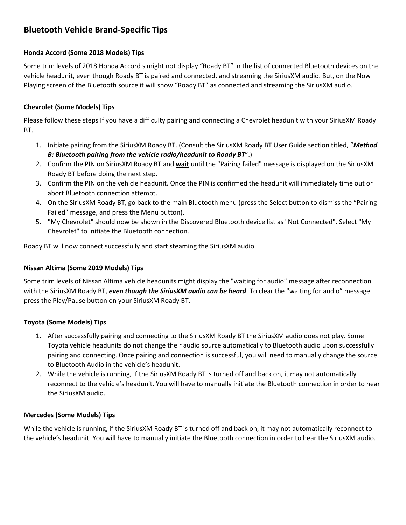# <span id="page-11-0"></span>**Bluetooth Vehicle Brand-Specific Tips**

## <span id="page-11-1"></span>**Honda Accord (Some 2018 Models) Tips**

Some trim levels of 2018 Honda Accord s might not display "Roady BT" in the list of connected Bluetooth devices on the vehicle headunit, even though Roady BT is paired and connected, and streaming the SiriusXM audio. But, on the Now Playing screen of the Bluetooth source it will show "Roady BT" as connected and streaming the SiriusXM audio.

### <span id="page-11-2"></span>**Chevrolet (Some Models) Tips**

Please follow these steps If you have a difficulty pairing and connecting a Chevrolet headunit with your SiriusXM Roady BT.

- 1. Initiate pairing from the SiriusXM Roady BT. (Consult the SiriusXM Roady BT User Guide section titled, "*Method B: Bluetooth pairing from the vehicle radio/headunit to Roady BT*".)
- 2. Confirm the PIN on SiriusXM Roady BT and **wait** until the "Pairing failed" message is displayed on the SiriusXM Roady BT before doing the next step.
- 3. Confirm the PIN on the vehicle headunit. Once the PIN is confirmed the headunit will immediately time out or abort Bluetooth connection attempt.
- 4. On the SiriusXM Roady BT, go back to the main Bluetooth menu (press the Select button to dismiss the "Pairing Failed" message, and press the Menu button).
- 5. "My Chevrolet" should now be shown in the Discovered Bluetooth device list as "Not Connected". Select "My Chevrolet" to initiate the Bluetooth connection.

Roady BT will now connect successfully and start steaming the SiriusXM audio.

#### <span id="page-11-3"></span>**Nissan Altima (Some 2019 Models) Tips**

Some trim levels of Nissan Altima vehicle headunits might display the "waiting for audio" message after reconnection with the SiriusXM Roady BT, *even though the SiriusXM audio can be heard*. To clear the "waiting for audio" message press the Play/Pause button on your SiriusXM Roady BT.

#### <span id="page-11-4"></span>**Toyota (Some Models) Tips**

- 1. After successfully pairing and connecting to the SiriusXM Roady BT the SiriusXM audio does not play. Some Toyota vehicle headunits do not change their audio source automatically to Bluetooth audio upon successfully pairing and connecting. Once pairing and connection is successful, you will need to manually change the source to Bluetooth Audio in the vehicle's headunit.
- 2. While the vehicle is running, if the SiriusXM Roady BT is turned off and back on, it may not automatically reconnect to the vehicle's headunit. You will have to manually initiate the Bluetooth connection in order to hear the SiriusXM audio.

#### <span id="page-11-5"></span>**Mercedes (Some Models) Tips**

While the vehicle is running, if the SiriusXM Roady BT is turned off and back on, it may not automatically reconnect to the vehicle's headunit. You will have to manually initiate the Bluetooth connection in order to hear the SiriusXM audio.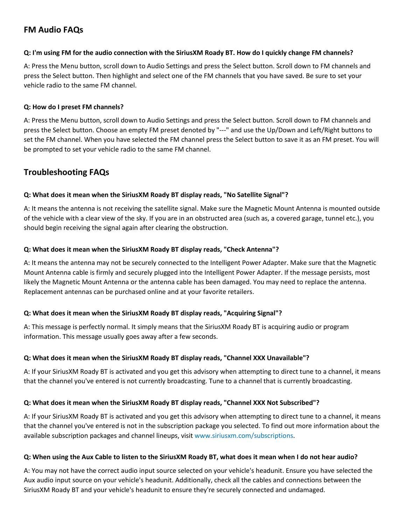# <span id="page-12-0"></span>**FM Audio FAQs**

### <span id="page-12-1"></span>**Q: I'm using FM for the audio connection with the SiriusXM Roady BT. How do I quickly change FM channels?**

A: Press the Menu button, scroll down to Audio Settings and press the Select button. Scroll down to FM channels and press the Select button. Then highlight and select one of the FM channels that you have saved. Be sure to set your vehicle radio to the same FM channel.

### <span id="page-12-2"></span>**Q: How do I preset FM channels?**

A: Press the Menu button, scroll down to Audio Settings and press the Select button. Scroll down to FM channels and press the Select button. Choose an empty FM preset denoted by "---" and use the Up/Down and Left/Right buttons to set the FM channel. When you have selected the FM channel press the Select button to save it as an FM preset. You will be prompted to set your vehicle radio to the same FM channel.

# <span id="page-12-3"></span>**Troubleshooting FAQs**

### <span id="page-12-4"></span>**Q: What does it mean when the SiriusXM Roady BT display reads, "No Satellite Signal"?**

A: It means the antenna is not receiving the satellite signal. Make sure the Magnetic Mount Antenna is mounted outside of the vehicle with a clear view of the sky. If you are in an obstructed area (such as, a covered garage, tunnel etc.), you should begin receiving the signal again after clearing the obstruction.

### <span id="page-12-5"></span>**Q: What does it mean when the SiriusXM Roady BT display reads, "Check Antenna"?**

A: It means the antenna may not be securely connected to the Intelligent Power Adapter. Make sure that the Magnetic Mount Antenna cable is firmly and securely plugged into the Intelligent Power Adapter. If the message persists, most likely the Magnetic Mount Antenna or the antenna cable has been damaged. You may need to replace the antenna. Replacement antennas can be purchased online and at your favorite retailers.

## <span id="page-12-6"></span>**Q: What does it mean when the SiriusXM Roady BT display reads, "Acquiring Signal"?**

A: This message is perfectly normal. It simply means that the SiriusXM Roady BT is acquiring audio or program information. This message usually goes away after a few seconds.

## <span id="page-12-7"></span>**Q: What does it mean when the SiriusXM Roady BT display reads, "Channel XXX Unavailable"?**

A: If your SiriusXM Roady BT is activated and you get this advisory when attempting to direct tune to a channel, it means that the channel you've entered is not currently broadcasting. Tune to a channel that is currently broadcasting.

## <span id="page-12-8"></span>**Q: What does it mean when the SiriusXM Roady BT display reads, "Channel XXX Not Subscribed"?**

A: If your SiriusXM Roady BT is activated and you get this advisory when attempting to direct tune to a channel, it means that the channel you've entered is not in the subscription package you selected. To find out more information about the available subscription packages and channel lineups, visit www.siriusxm.com/subscriptions.

#### <span id="page-12-9"></span>**Q: When using the Aux Cable to listen to the SiriusXM Roady BT, what does it mean when I do not hear audio?**

A: You may not have the correct audio input source selected on your vehicle's headunit. Ensure you have selected the Aux audio input source on your vehicle's headunit. Additionally, check all the cables and connections between the SiriusXM Roady BT and your vehicle's headunit to ensure they're securely connected and undamaged.